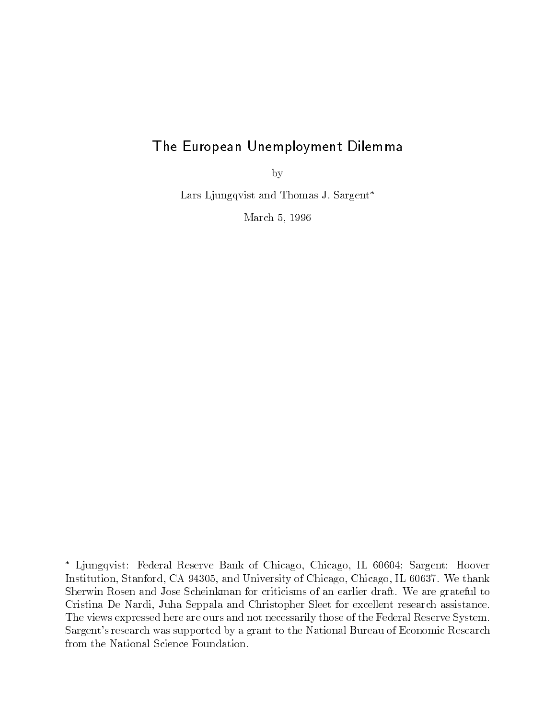# The European Unemployment Dilemma

by

Lars Ljungqvist and Thomas J. Sargent\*

March 5, 1996

Ljungqvist: Federal Reserve Bank of Chicago, Chicago, IL 60604; Sargent: Hoover Institution, Stanford, CA 94305, and University of Chicago, Chicago, IL 60637. We thank Sherwin Rosen and Jose Scheinkman for criticisms of an earlier draft. We are grateful to Cristina De Nardi, Juha Seppala and Christopher Sleet for excellent research assistance. The views expressed here are ours and not necessarily those of the Federal Reserve System. Sargent's research was supported by a grant to the National Bureau of Economic Research from the National Science Foundation.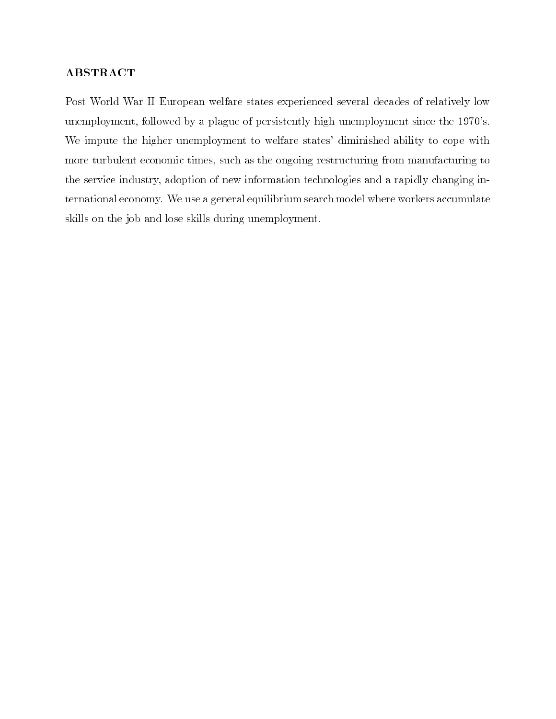## ABSTRACT

Post World War II European welfare states experienced several decades of relatively low unemployment, followed by a plague of persistently high unemployment since the 1970's. We impute the higher unemployment to welfare states' diminished ability to cope with more turbulent economic times, such as the ongoing restructuring from manufacturing to the service industry, adoption of new information technologies and a rapidly changing international economy. We use a general equilibrium search model where workers accumulate skills on the job and lose skills during unemployment.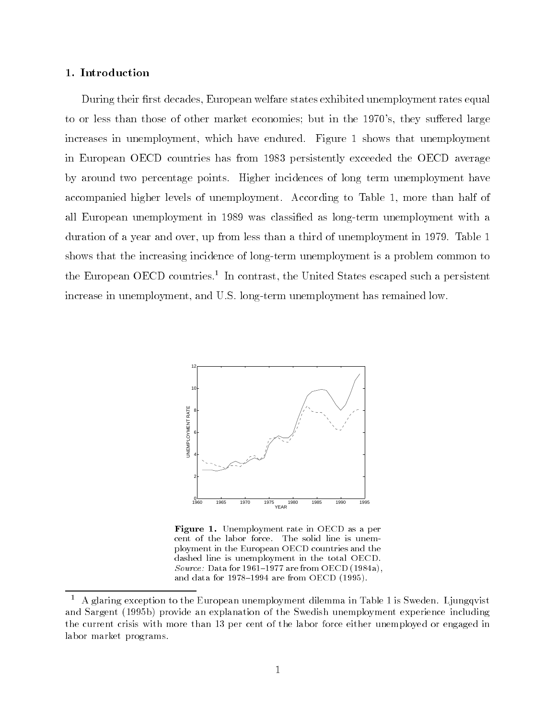## 1. Introduction

During their first decades, European welfare states exhibited unemployment rates equal to or less than those of other market economies; but in the 1970's, they suffered large increases in unemployment, which have endured. Figure 1 shows that unemployment in European OECD countries has from 1983 persistently exceeded the OECD average by around two percentage points. Higher incidences of long term unemployment have accompanied higher levels of unemployment. According to Table 1, more than half of all European unemployment in 1989 was classied as long-term unemployment with a duration of a year and over, up from less than a third of unemployment in 1979. Table 1 shows that the increasing incidence of long-term unemployment is a problem common to the European OECD countries. In contrast, the United States escaped such a persistent increase in unemployment, and U.S. long-term unemployment has remained low.



Figure 1. Unemployment rate in OECD as a per cent of the labor force. The solid line is unemployment in the European OECD countries and thedashed line is unemployment in the total OECD.Source: Data for 1961-1977 are from OECD (1984a), and data for  $1978-1994$  are from OECD (1995).

 $^{\circ}$  -A glaring exception to the European unemployment dilemma in Table 1 is Sweden. Ljungqvist  $^{\circ}$ and Sargent (1995b) provide an explanation of the Swedish unemployment experience including the current crisis with more than 13 per cent of the labor force either unemployed or engaged in labor market programs.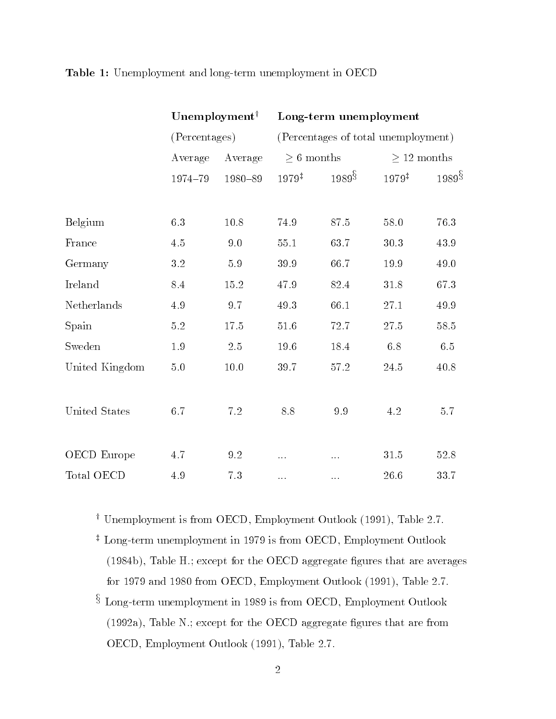|                    | $\bf U$ nemployment $^\dagger$ |               | Long-term unemployment |                                     |                  |          |  |  |  |
|--------------------|--------------------------------|---------------|------------------------|-------------------------------------|------------------|----------|--|--|--|
|                    |                                | (Percentages) |                        | (Percentages of total unemployment) |                  |          |  |  |  |
|                    | Average                        | Average       | $\geq 6$ months        |                                     | $\geq$ 12 months |          |  |  |  |
|                    | 1974-79                        | 1980-89       | $1979^{\ddagger}$      | $1989\overset{5}{8}$                | 1979#            | 1989§    |  |  |  |
|                    |                                |               |                        |                                     |                  |          |  |  |  |
| Belgium            | 6.3                            | 10.8          | 74.9                   | 87.5                                | 58.0             | 76.3     |  |  |  |
| France             | 4.5                            | 9.0           | $55.1\,$               | 63.7                                | $30.3\,$         | 43.9     |  |  |  |
| Germany            | $3.2\,$                        | $5.9\,$       | $39.9\,$               | 66.7                                | 19.9             | 49.0     |  |  |  |
| Ireland            | 8.4                            | 15.2          | 47.9                   | $82.4\,$                            | 31.8             | 67.3     |  |  |  |
| Netherlands        | 4.9                            | 9.7           | 49.3                   | 66.1                                | $27.1\,$         | 49.9     |  |  |  |
| Spain              | $5.2\,$                        | 17.5          | $51.6\,$               | 72.7                                | $27.5\,$         | $58.5\,$ |  |  |  |
| Sweden             | $1.9\,$                        | $2.5\,$       | $19.6\,$               | 18.4                                | $6.8\,$          | $6.5\,$  |  |  |  |
| United Kingdom     | $5.0\,$                        | $10.0\,$      | 39.7                   | 57.2                                | 24.5             | 40.8     |  |  |  |
|                    |                                |               |                        |                                     |                  |          |  |  |  |
| United States      | 6.7                            | 7.2           | 8.8                    | 9.9                                 | 4.2              | 5.7      |  |  |  |
|                    |                                |               |                        |                                     |                  |          |  |  |  |
| <b>OECD</b> Europe | 4.7                            | 9.2           | $\cdots$               |                                     | 31.5             | 52.8     |  |  |  |
| Total OECD         | 4.9                            | 7.3           |                        |                                     | 26.6             | 33.7     |  |  |  |

## Table 1: Unemployment and long-term unemployment in OECD

<sup>y</sup> Unemployment is from OECD, Employment Outlook (1991), Table 2.7.

- <sup>z</sup> Long-term unemployment in 1979 is from OECD, Employment Outlook  $(1984b)$ , Table H .; except for the OECD aggregate figures that are averages for 1979 and 1980 from OECD, Employment Outlook (1991), Table 2.7.
- <sup>x</sup> Long-term unemployment in 1989 is from OECD, Employment Outlook (1992a), Table N.; except for the OECD aggregate figures that are from OECD, Employment Outlook (1991), Table 2.7.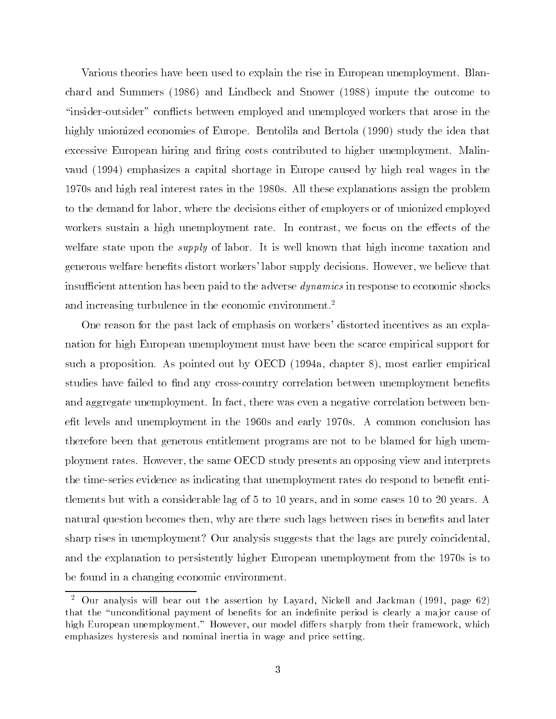Various theories have been used to explain the rise in European unemployment. Blanchard and Summers (1986) and Lindbeck and Snower (1988) impute the outcome to \insider-outsider" con
icts between employed and unemployed workers that arose in the highly unionized economies of Europe. Bentolila and Bertola (1990) study the idea that excessive European hiring and firing costs contributed to higher unemployment. Malinvaud (1994) emphasizes a capital shortage in Europe caused by high real wages in the 1970s and high real interest rates in the 1980s. All these explanations assign the problem to the demand for labor, where the decisions either of employers or of unionized employed workers sustain a high unemployment rate. In contrast, we focus on the effects of the welfare state upon the *supply* of labor. It is well known that high income taxation and generous welfare benets distort workers' labor supply decisions. However, we believe that insufficient attention has been paid to the adverse *dynamics* in response to economic shocks and increasing turbulence in the economic environment.<sup>2</sup>

One reason for the past lack of emphasis on workers' distorted incentives as an explanation for high European unemployment must have been the scarce empirical support for such a proposition. As pointed out by OECD (1994a, chapter 8), most earlier empirical studies have failed to find any cross-country correlation between unemployment benefits and aggregate unemployment. In fact, there was even a negative correlation between benefit levels and unemployment in the 1960s and early 1970s. A common conclusion has therefore been that generous entitlement programs are not to be blamed for high unemployment rates. However, the same OECD study presents an opposing view and interprets the time-series evidence as indicating that unemployment rates do respond to benefit entitlements but with a considerable lag of 5 to 10 years, and in some cases 10 to 20 years. A natural question becomes then, why are there such lags between rises in benefits and later sharp rises in unemployment? Our analysis suggests that the lags are purely coincidental, and the explanation to persistently higher European unemployment from the 1970s is to be found in a changing economic environment.

<sup>2</sup> Our analysis will bear out the assertion by Layard, Nickell and Jackman (1991, page 62) that the "unconditional payment of benefits for an indefinite period is clearly a major cause of high European unemployment." However, our model differs sharply from their framework, which emphasizes hysteresis and nominal inertia in wage and price setting.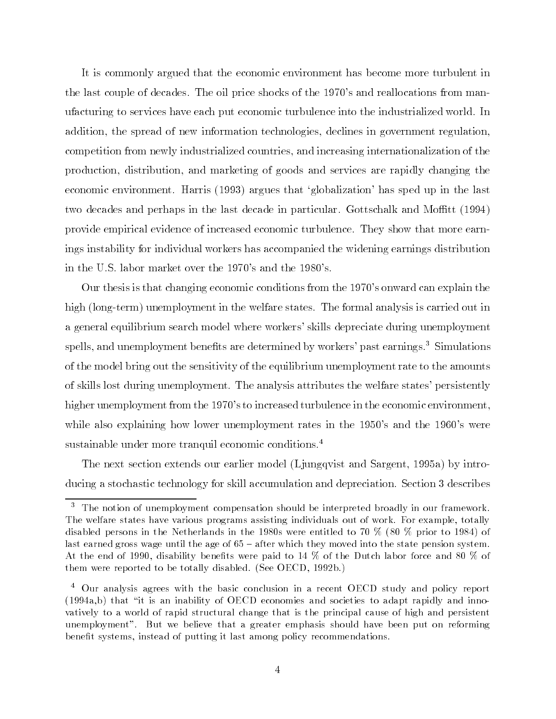It is commonly argued that the economic environment has become more turbulent in the last couple of decades. The oil price shocks of the 1970's and reallocations from manufacturing to services have each put economic turbulence into the industrialized world. In addition, the spread of new information technologies, declines in government regulation, competition from newly industrialized countries, and increasing internationalization of the production, distribution, and marketing of goods and services are rapidly changing the economic environment. Harris (1993) argues that `globalization' has sped up in the last two decades and perhaps in the last decade in particular. Gottschalk and Moffitt (1994) provide empirical evidence of increased economic turbulence. They show that more earnings instability for individual workers has accompanied the widening earnings distribution in the U.S. labor market over the 1970's and the 1980's.

Our thesis is that changing economic conditions from the 1970's onward can explain the high (long-term) unemployment in the welfare states. The formal analysis is carried out in a general equilibrium search model where workers' skills depreciate during unemployment spells, and unemployment benefits are determined by workers' past earnings.<sup>3</sup> Simulations of the model bring out the sensitivity of the equilibrium unemployment rate to the amounts of skills lost during unemployment. The analysis attributes the welfare states' persistently higher unemployment from the 1970's to increased turbulence in the economic environment, while also explaining how lower unemployment rates in the 1950's and the 1960's were sustainable under more tranquil economic conditions.<sup>4</sup>

The next section extends our earlier model (Ljungqvist and Sargent, 1995a) by introducing a stochastic technology for skill accumulation and depreciation. Section 3 describes

 $^\circ$  The notion of unemployment compensation should be interpreted broadly in our framework. The welfare states have various programs assisting individuals out of work. For example, totally disabled persons in the Netherlands in the 1980s were entitled to 70 % (80 % prior to 1984) of last earned gross wage until the age of  $65$  – after which they moved into the state pension system. At the end of 1990, disability benefits were paid to 14 % of the Dutch labor force and 80 % of them were reported to be totally disabled. (See OECD, 1992b.)

 $^\circ$  Our analysis agrees with the basic conclusion in a recent OECD study and policy report  $^\circ$  $(1994a,b)$  that "it is an inability of OECD economies and societies to adapt rapidly and innovatively to a world of rapid structural change that is the principal cause of high and persistent unemployment". But we believe that a greater emphasis should have been put on reforming benefit systems, instead of putting it last among policy recommendations.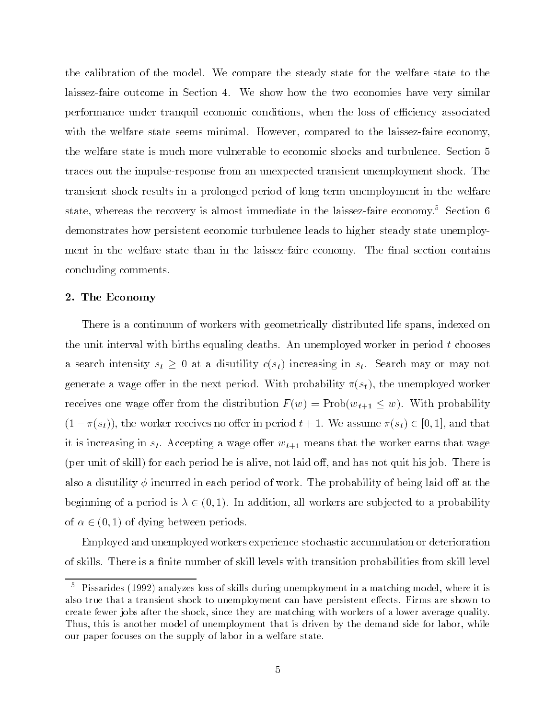the calibration of the model. We compare the steady state for the welfare state to the laissez-faire outcome in Section 4. We show how the two economies have very similar performance under tranquil economic conditions, when the loss of efficiency associated with the welfare state seems minimal. However, compared to the laissez-faire economy, the welfare state is much more vulnerable to economic shocks and turbulence. Section 5 traces out the impulse-response from an unexpected transient unemployment shock. The transient shock results in a prolonged period of long-term unemployment in the welfare state, whereas the recovery is almost immediate in the laissez-faire economy.<sup>5</sup> Section 6 demonstrates how persistent economic turbulence leads to higher steady state unemployment in the welfare state than in the laissez-faire economy. The final section contains concluding comments.

#### 2. The Economy

There is a continuum of workers with geometrically distributed life spans, indexed on the unit interval with births equaling deaths. An unemployed worker in period  $t$  chooses a search intersecting states in an at discussion  $\{0,1\}$  increasing in states in state in state, we may not generate a wage oer in the next period. With probability (st ), the unemployed worker receives one wage offer from the distribution  $F(w) = \text{Prob}(w_{t+1} \leq w)$ . With probability (1  $\sim$  1), the worker receives no one of the worker receives the worker receives  $\sim$  1. We assume (state  $\sim$ it is increasing in st . Accepting a wage oer wt+1 means that the worker earns that wage (per unit of skill) for each period he is alive, not laid off, and has not quit his job. There is also a disutility  $\phi$  incurred in each period of work. The probability of being laid off at the beginning of a period is  $\lambda \in (0, 1)$ . In addition, all workers are subjected to a probability of  $\alpha \in (0, 1)$  of dying between periods.

Employed and unemployed workers experience stochastic accumulation or deterioration of skills. There is a finite number of skill levels with transition probabilities from skill level

<sup>5</sup> Pissarides (1992) analyzes loss of skills during unemployment in a matching model, where it is also true that a transient shock to unemployment can have persistent effects. Firms are shown to create fewer jobs after the shock, since they are matching with workers of a lower average quality. Thus, this is another model of unemployment that is driven by the demand side for labor, while our paper focuses on the supply of labor in a welfare state.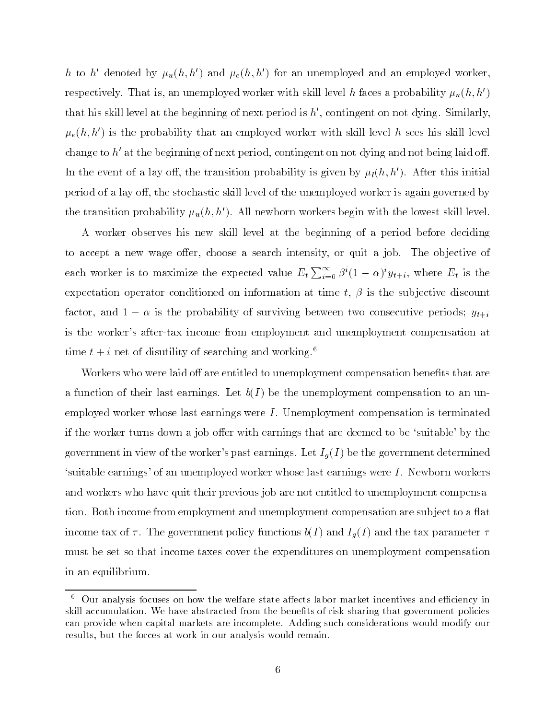h to h' denoted by  $\mu_u(h, h')$  and  $\mu_e(h, h')$  for an unemployed and an employed worker, respectively. That is, an unemployed worker with skill level h faces a probability  $\mu_u(h, h')$ that his skill level at the beginning of next period is  $h'$ , contingent on not dying. Similarly,  $\mu_e(h, h')$  is the probability that an employed worker with skill level h sees his skill level change to h<sup> $\prime$ </sup> at the beginning of next period, contingent on not dying and not being laid off. In the event of a lay off, the transition probability is given by  $\mu_l(h,h')$ . After this initial period of a lay off, the stochastic skill level of the unemployed worker is again governed by the transition probability  $\mu_u(h, h')$ . All newborn workers begin with the lowest skill level.

A worker observes his new skill level at the beginning of a period before deciding to accept a new wage offer, choose a search intensity, or quit a job. The objective of each worker is to maximize the expected value  $E_t \sum_{i=0}^{\infty} \beta^{i} (1-\alpha)^{i} y_{t+i}$ , where  $E_t$  is the expectation operator conditioned on information at time  $t, \beta$  is the subjective discount factor, and  $1 - \alpha$  is the probability of surviving between two consecutive periods;  $y_{t+i}$ is the worker's after-tax income from employment and unemployment compensation at time  $t + i$  net of disutility of searching and working.<sup>6</sup>

Workers who were laid off are entitled to unemployment compensation benefits that are a function of their last earnings. Let  $b(I)$  be the unemployment compensation to an unemployed worker whose last earnings were I. Unemployment compensation is terminated if the worker turns down a job offer with earnings that are deemed to be 'suitable' by the government in view of the worker's past earnings. Let  $I_q(I)$  be the government determined `suitable earnings' of an unemployed worker whose last earnings were <sup>I</sup> . Newborn workers and workers who have quit their previous job are not entitled to unemployment compensation. Both income from employment and unemployment compensation are subject to a flat income tax of  $\alpha$  , the government policy functions b(I ) and Ig(I ) and I directed by  $\alpha$ must be set so that income taxes cover the expenditures on unemployment compensation in an equilibrium.

 $^\circ$  -Uur analysis focuses on how the welfare state affects labor market incentives and efficiency in  $^\circ$ skill accumulation. We have abstracted from the benefits of risk sharing that government policies can provide when capital markets are incomplete. Adding such considerations would modify our results, but the forces at work in our analysis would remain.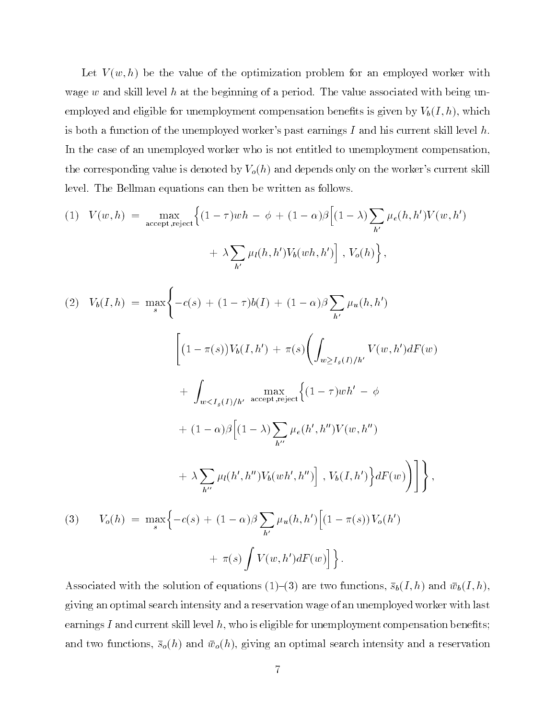Let  $V(w, h)$  be the value of the optimization problem for an employed worker with wage w and skill level h at the beginning of a period. The value associated with being unemployed and eligible for unemployment compensation benefits is given by  $V_b(I, h)$ , which is both a function of the unemployed worker's past earnings I and his current skill level h. In the case of an unemployed worker who is not entitled to unemployment compensation, the corresponding value is denoted by  $V_o(h)$  and depends only on the worker's current skill level. The Bellman equations can then be written as follows.

(1) 
$$
V(w, h) = \max_{\text{accept}, \text{reject}} \left\{ (1 - \tau)wh - \phi + (1 - \alpha)\beta \left[ (1 - \lambda) \sum_{h'} \mu_e(h, h') V(w, h') + \lambda \sum_{h'} \mu_l(h, h') V_b(wh, h') \right], V_o(h) \right\},
$$

$$
(2) V_b(I, h) = \max_s \Biggl\{ -c(s) + (1 - \tau)b(I) + (1 - \alpha)\beta \sum_{h'} \mu_u(h, h') \Biggr\}
$$

$$
\Biggl[ (1 - \pi(s))V_b(I, h') + \pi(s) \Biggl( \int_{w \ge I_g(I)/h'} V(w, h') dF(w) + \int_{w < I_g(I)/h'} \max_{\text{accept}, \text{reject}} \Biggl\{ (1 - \tau)wh' - \phi + (1 - \alpha)\beta \Bigl[ (1 - \lambda) \sum_{h''} \mu_e(h', h'')V(w, h'') + \lambda \sum_{h''} \mu_l(h', h'')V_b(wh', h'') \Bigr], V_b(I, h') \Biggr\} dF(w) \Biggr) \Biggr] \Biggr\},
$$

$$
(3) V_o(h) = \max_s \Biggl\{ -c(s) + (1 - \alpha)\beta \sum_{h'} \mu_u(h, h') \Bigl[ (1 - \pi(s))V_o(h')
$$

$$
+\ \pi(s)\int V(w,h')dF(w)\Bigr]\Bigr\}\,.
$$

Associated with the solution of equations (1)-(3) are two functions,  $\bar{s}_b(I,h)$  and  $\bar{w}_b(I,h)$ , giving an optimal search intensity and a reservation wage of an unemployed worker with last earnings I and current skill level  $h$ , who is eligible for unemployment compensation benefits; and two functions,  $\bar{s}_{o}(h)$  and  $\bar{w}_{o}(h)$ , giving an optimal search intensity and a reservation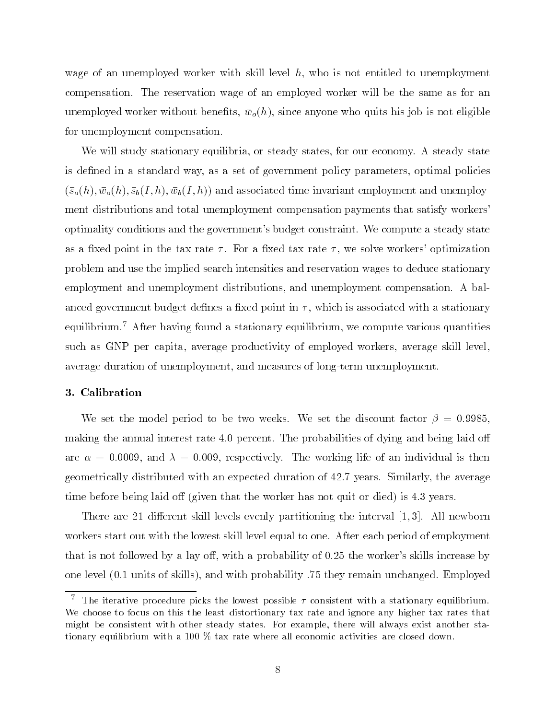wage of an unemployed worker with skill level  $h$ , who is not entitled to unemployment compensation. The reservation wage of an employed worker will be the same as for an unemployed worker without benefits,  $\bar{w}_o(h)$ , since anyone who quits his job is not eligible for unemployment compensation.

We will study stationary equilibria, or steady states, for our economy. A steady state is defined in a standard way, as a set of government policy parameters, optimal policies  $(\bar{s}_{\rho}(h), \bar{w}_{\rho}(h), \bar{s}_{\rho}(I,h), \bar{w}_{\rho}(I,h))$  and associated time invariant employment and unemployment distributions and total unemployment compensation payments that satisfy workers' optimality conditions and the government's budget constraint. We compute a steady state as a fixed point in the tax rate  $\tau$ . For a fixed tax rate  $\tau$ , we solve workers' optimization problem and use the implied search intensities and reservation wages to deduce stationary employment and unemployment distributions, and unemployment compensation. A balanced government budget defines a fixed point in  $\tau$ , which is associated with a stationary equilibrium.7 After having found a stationary equilibrium, we compute various quantities such as GNP per capita, average productivity of employed workers, average skill level, average duration of unemployment, and measures of long-term unemployment.

#### 3. Calibration

We set the model period to be two weeks. We set the discount factor  $\beta = 0.9985$ , making the annual interest rate 4.0 percent. The probabilities of dying and being laid off are  $\alpha = 0.0009$ , and  $\lambda = 0.009$ , respectively. The working life of an individual is then geometrically distributed with an expected duration of 42.7 years. Similarly, the average time before being laid off (given that the worker has not quit or died) is 4.3 years.

There are 21 different skill levels evenly partitioning the interval  $[1,3]$ . All newborn workers start out with the lowest skill level equal to one. After each period of employment that is not followed by a lay off, with a probability of  $0.25$  the worker's skills increase by one level (0.1 units of skills), and with probability .75 they remain unchanged. Employed

 $^\circ$  -fine iterative procedure picks the lowest possible  $\tau$  consistent with a stationary equilibrium. We choose to focus on this the least distortionary tax rate and ignore any higher tax rates that might be consistent with other steady states. For example, there will always exist another stationary equilibrium with a 100 % tax rate where all economic activities are closed down.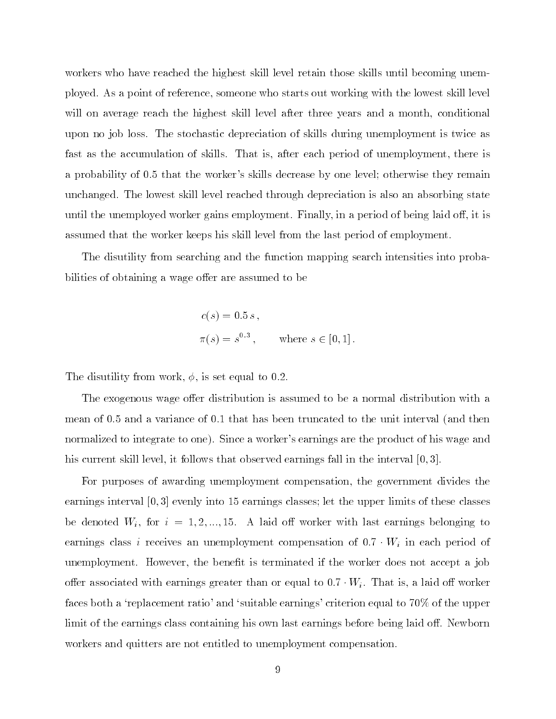workers who have reached the highest skill level retain those skills until becoming unemployed. As a point of reference, someone who starts out working with the lowest skill level will on average reach the highest skill level after three years and a month, conditional upon no job loss. The stochastic depreciation of skills during unemployment is twice as fast as the accumulation of skills. That is, after each period of unemployment, there is a probability of 0.5 that the worker's skills decrease by one level; otherwise they remain unchanged. The lowest skill level reached through depreciation is also an absorbing state until the unemployed worker gains employment. Finally, in a period of being laid off, it is assumed that the worker keeps his skill level from the last period of employment.

The disutility from searching and the function mapping search intensities into probabilities of obtaining a wage offer are assumed to be

$$
c(s) = 0.5 s
$$
,  
\n $\pi(s) = s^{0.3}$ , where  $s \in [0, 1]$ .

The disutility from work,  $\phi$ , is set equal to 0.2.

The exogenous wage offer distribution is assumed to be a normal distribution with a mean of 0.5 and a variance of 0.1 that has been truncated to the unit interval (and then normalized to integrate to one). Since a worker's earnings are the product of his wage and his current skill level, it follows that observed earnings fall in the interval [0,3].

For purposes of awarding unemployment compensation, the government divides the earnings interval [0; 3] evenly into 15 earnings classes; let the upper limits of these classes be denoted  $W_i$  ,  $W_i$  ,  $W_i = 1, ..., 2, ..., 1, ..., N$  and the motion with last earnings belonging to earnings class i receives and unexployment compensation of the compensation of  $\ell$ unemployment. However, the benefit is terminated if the worker does not accept a job oer associated with earnings greater than or educe to 1:7 Wi . That is, a laid o worker to 2000 faces both a 'replacement ratio' and 'suitable earnings' criterion equal to 70% of the upper limit of the earnings class containing his own last earnings before being laid off. Newborn workers and quitters are not entitled to unemployment compensation.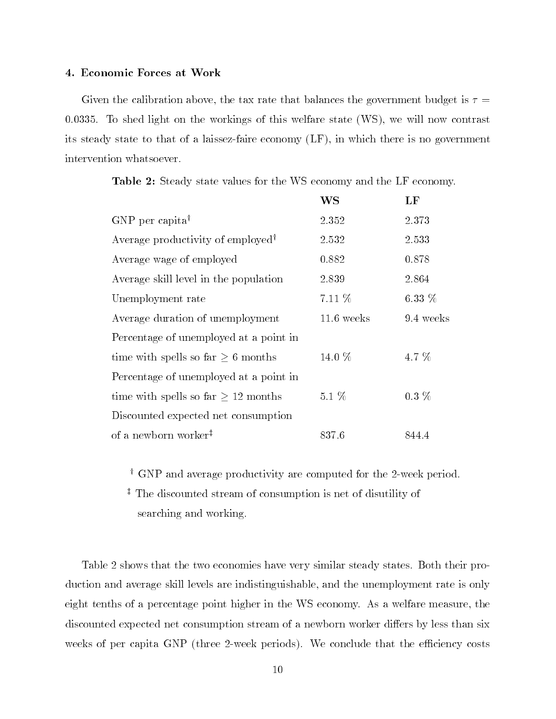#### 4. Economic Forces at Work

Given the calibration above, the tax rate that balances the government budget is  $\tau =$ 0:0335. To shed light on the workings of this welfare state (WS), we will now contrast its steady state to that of a laissez-faire economy (LF), in which there is no government intervention whatsoever.

|  |  |  |  |  |  | <b>Table 2:</b> Steady state values for the WS economy and the LF economy. |  |
|--|--|--|--|--|--|----------------------------------------------------------------------------|--|
|  |  |  |  |  |  |                                                                            |  |

|                                               | WS           | LF        |
|-----------------------------------------------|--------------|-----------|
| $GNP$ per capita <sup>†</sup>                 | 2.352        | 2.373     |
| Average productivity of employed <sup>†</sup> | 2.532        | 2.533     |
| Average wage of employed                      | 0.882        | 0.878     |
| Average skill level in the population         | 2.839        | 2.864     |
| Unemployment rate                             | 7.11 %       | $6.33\%$  |
| Average duration of unemployment              | $11.6$ weeks | 9.4 weeks |
| Percentage of unemployed at a point in        |              |           |
| time with spells so far $\geq 6$ months       | 14.0 $%$     | 4.7 $%$   |
| Percentage of unemployed at a point in        |              |           |
| time with spells so far $\geq 12$ months      | $5.1\%$      | $0.3\%$   |
| Discounted expected net consumption           |              |           |
| of a newborn worker <sup>#</sup>              | 837.6        | 844.4     |

<sup>y</sup> GNP and average productivity are computed for the 2-week period.

<sup>z</sup> The discounted stream of consumption is net of disutility of searching and working.

Table 2 shows that the two economies have very similar steady states. Both their production and average skill levels are indistinguishable, and the unemployment rate is only eight tenths of a percentage point higher in the WS economy. As a welfare measure, the discounted expected net consumption stream of a newborn worker differs by less than six weeks of per capita GNP (three 2-week periods). We conclude that the efficiency costs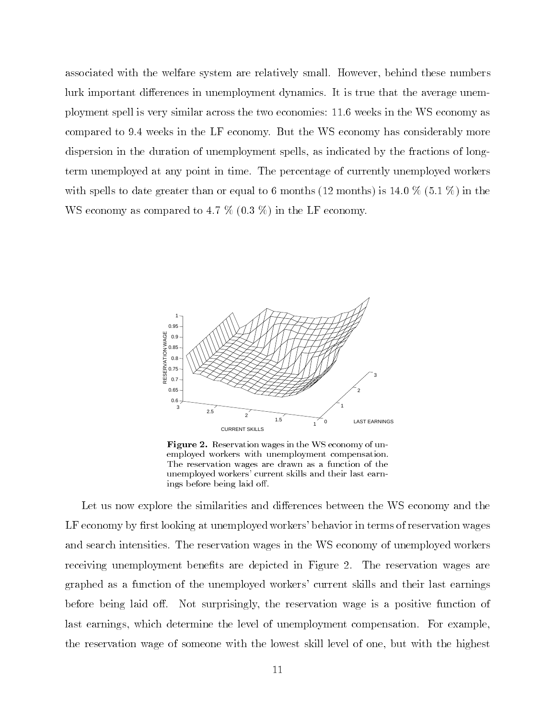associated with the welfare system are relatively small. However, behind these numbers lurk important differences in unemployment dynamics. It is true that the average unemployment spell is very similar across the two economies: 11.6 weeks in the WS economy as compared to 9.4 weeks in the LF economy. But the WS economy has considerably more dispersion in the duration of unemployment spells, as indicated by the fractions of longterm unemployed at any point in time. The percentage of currently unemployed workers with spells to date greater than or equal to 6 months (12 months) is 14.0  $\%$  (5.1  $\%$ ) in the WS economy as compared to 4.7 % (0.3 %) in the LF economy.



Figure 2. Reservation wages in the WS economy of unemployed workers with unemployment compensation.The reservation wages are drawn as a function of theunemployed workers' current skills and their last earnings before being laid off.

Let us now explore the similarities and differences between the WS economy and the LF economy by first looking at unemployed workers' behavior in terms of reservation wages and search intensities. The reservation wages in the WS economy of unemployed workers receiving unemployment benefits are depicted in Figure 2. The reservation wages are graphed as a function of the unemployed workers' current skills and their last earnings before being laid off. Not surprisingly, the reservation wage is a positive function of last earnings, which determine the level of unemployment compensation. For example, the reservation wage of someone with the lowest skill level of one, but with the highest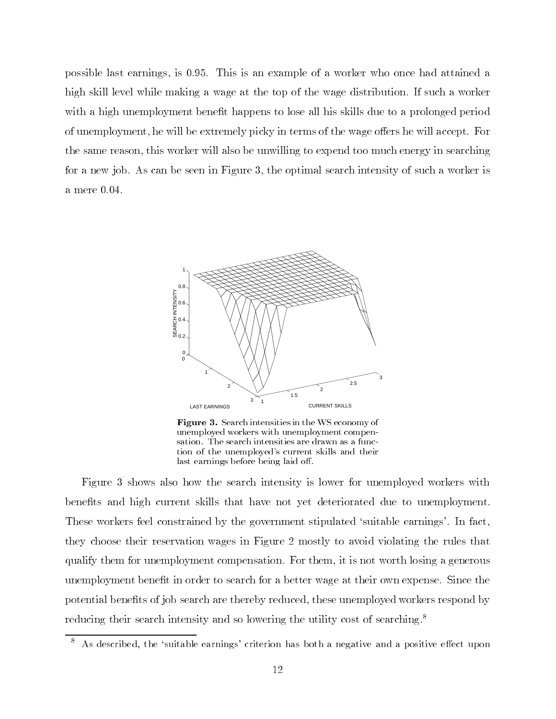possible last earnings, is 0.95. This is an example of a worker who once had attained a high skill level while making a wage at the top of the wage distribution. If such a worker with a high unemployment benefit happens to lose all his skills due to a prolonged period of unemployment, he will be extremely picky in terms of the wage offers he will accept. For the same reason, this worker will also be unwilling to expend too much energy in searching for a new job. As can be seen in Figure 3, the optimal search intensity of suchaworker is a mere 0.04.



Figure 3. Search intensities in the WS economy of unemployed workers with unemployment compensation. The search intensities are drawn as a function of the unemployed's current skills and theirlast earnings before being laid off.

Figure 3 shows also how the search intensity is lower for unemployed workers with benets and high current skills that have not yet deteriorated due to unemployment. These workers feel constrained by the government stipulated 'suitable earnings'. In fact, they choose their reservation wages in Figure 2 mostly to avoid violating the rules that qualify them for unemployment compensation. For them, it is not worth losing a generous unemployment benefit in order to search for a better wage at their own expense. Since the potential benefits of job search are thereby reduced, these unemployed workers respond by reducing their search intensity and so lowering the utility cost of searching.<sup>8</sup>

 $\degree$  As described, the 'suitable earnings' criterion has both a negative and a positive effect upon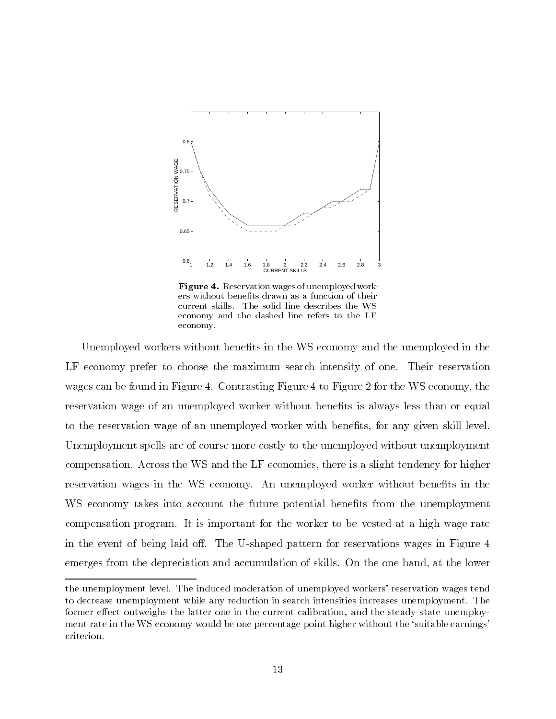

 $\bf{r}$  requestration wages of unemployed workers without benefits drawn as a function of their current skills. The solid line describes the WS economy and the dashed line refers to the LFeconomy.

Unemployed workers without benets in the WS economy and the unemployed in the LF economy prefer to choose the maximum search intensity of one. Their reservation wages can be found in Figure 4. Contrasting Figure 4 to Figure 2 for the WS economy, the reservation wage of an unemployed worker without benets is always less than or equal to the reservation wage of an unemployed worker with benefits, for any given skill level. Unemployment spells are of course more costly to the unemployed without unemployment compensation. Across the WS and the LF economies, there is a slight tendency for higher reservation wages in the WS economy. An unemployed worker without benefits in the WS economy takes into account the future potential benefits from the unemployment compensation program. It is important for the worker to be vested at a high wage rate in the event of being laid off. The U-shaped pattern for reservations wages in Figure 4 emerges from the depreciation and accumulation of skills. On the one hand, at the lower

the unemployment level. The induced moderation of unemployed workers' reservation wages tend to decrease unemployment while any reduction in search intensities increases unemployment. The former effect outweighs the latter one in the current calibration, and the steady state unemployment rate in the WS economy would be one percentage point higher without the 'suitable earnings' criterion.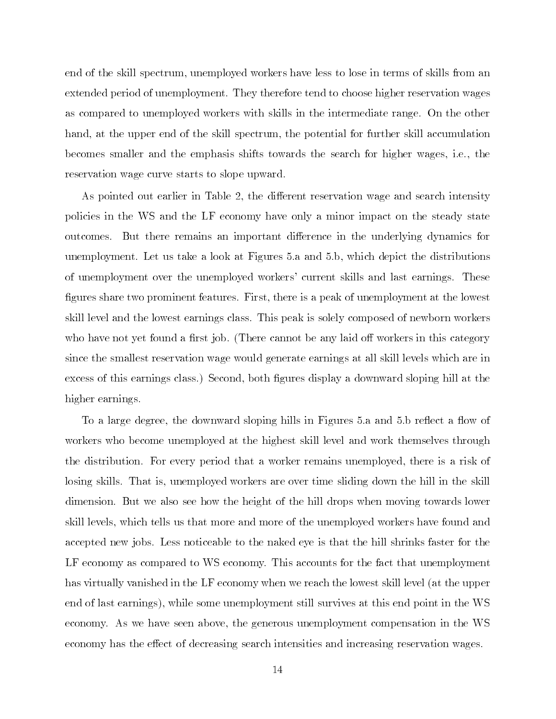end of the skill spectrum, unemployed workers have less to lose in terms of skills from an extended period of unemployment. They therefore tend to choose higher reservation wages as compared to unemployed workers with skills in the intermediate range. On the other hand, at the upper end of the skill spectrum, the potential for further skill accumulation becomes smaller and the emphasis shifts towards the search for higher wages, i.e., the reservation wage curve starts to slope upward.

As pointed out earlier in Table 2, the different reservation wage and search intensity policies in the WS and the LF economy have only a minor impact on the steady state outcomes. But there remains an important difference in the underlying dynamics for unemployment. Let us take a look at Figures 5.a and 5.b, which depict the distributions of unemployment over the unemployed workers' current skills and last earnings. These figures share two prominent features. First, there is a peak of unemployment at the lowest skill level and the lowest earnings class. This peak is solely composed of newborn workers who have not yet found a first job. (There cannot be any laid off workers in this category since the smallest reservation wage would generate earnings at all skill levels which are in excess of this earnings class.) Second, both gures display a downward sloping hill at the higher earnings.

To a large degree, the downward sloping hills in Figures 5.a and 5.b reflect a flow of workers who become unemployed at the highest skill level and work themselves through the distribution. For every period that a worker remains unemployed, there is a risk of losing skills. That is, unemployed workers are over time sliding down the hill in the skill dimension. But we also see how the height of the hill drops when moving towards lower skill levels, which tells us that more and more of the unemployed workers have found and accepted new jobs. Less noticeable to the naked eye is that the hill shrinks faster for the LF economy as compared to WS economy. This accounts for the fact that unemployment has virtually vanished in the LF economy when we reach the lowest skill level (at the upper end of last earnings), while some unemployment still survives at this end point in the WS economy. As we have seen above, the generous unemployment compensation in the WS economy has the effect of decreasing search intensities and increasing reservation wages.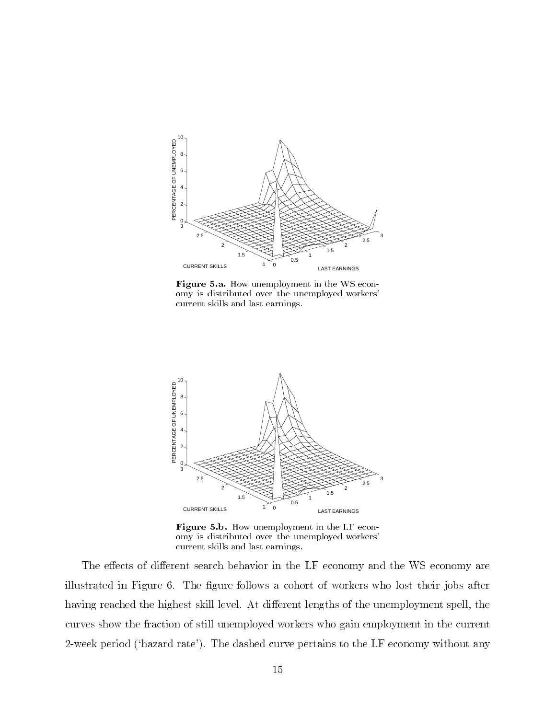

Figure 5.a. How unemployment in the WS economy is distributed over the unemployed workers'current skills and last earnings.



Figure 5.b. How unemployment in the LF economy is distributed over the unemployed workers'current skills and last earnings.

The effects of different search behavior in the LF economy and the WS economy are illustrated in Figure 6. The figure follows a cohort of workers who lost their jobs after having reached the highest skill level. At different lengths of the unemployment spell, the curves show the fraction of still unemployed workers who gain employment in the current 2-week period (`hazard rate'). The dashed curve pertains to the LF economy without any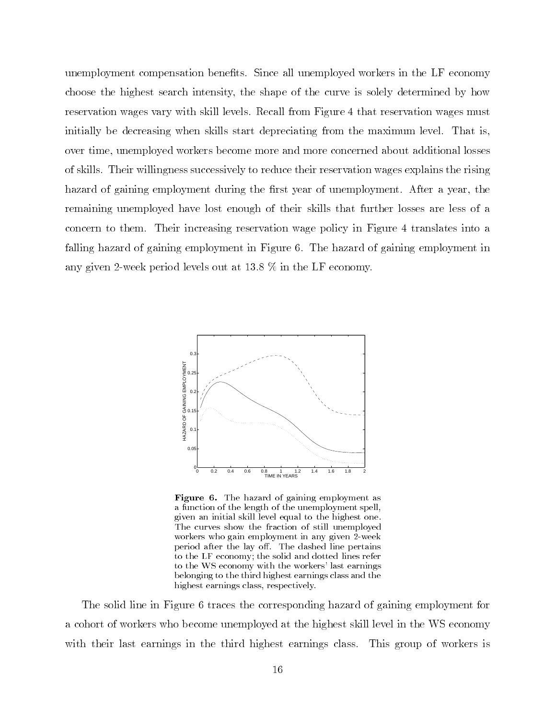unemployment compensation benefits. Since all unemployed workers in the LF economy choose the highest search intensity, the shape of the curve is solely determined by how reservation wages vary with skill levels. Recall from Figure 4 that reservation wages must initially be decreasing when skills start depreciating from the maximum level. That is, over time, unemployed workers become more and more concerned about additional losses of skills. Their willingness successively to reduce their reservation wages explains the rising hazard of gaining employment during the first year of unemployment. After a year, the remaining unemployed have lost enough of their skills that further losses are less of a concern to them. Their increasing reservation wage policy in Figure 4 translates into a falling hazard of gaining employment in Figure 6. The hazard of gaining employment in any given 2-week period levels out at 13.8 % in the LF economy.



Figure 6. The hazard of gaining employment as a function of the length of the unemployment spell,given an initial skill level equal to the highest one.The curves show the fraction of still unemployedworkers who gain employment in any given 2-weekperiod after the lay off. The dashed line pertains to the LF economy; the solid and dotted lines referto the WS economy with the workers' last earningsbelonging to the third highest earnings class and thehighest earnings class, respectively.

The solid line in Figure 6 traces the corresponding hazard of gaining employment for a cohort of workers who become unemployed at the highest skill level in the WS economy with their last earnings in the third highest earnings class. This group of workers is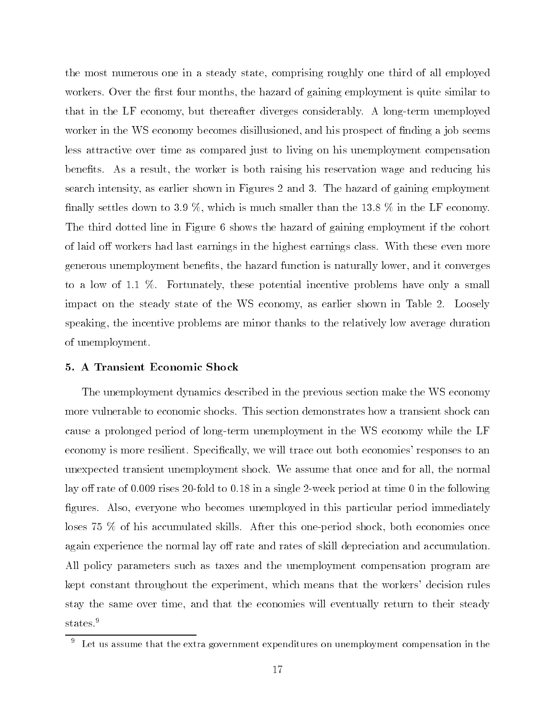the most numerous one in a steady state, comprising roughly one third of all employed workers. Over the first four months, the hazard of gaining employment is quite similar to that in the LF economy, but thereafter diverges considerably. A long-term unemployed worker in the WS economy becomes disillusioned, and his prospect of finding a job seems less attractive over time as compared just to living on his unemployment compensation benefits. As a result, the worker is both raising his reservation wage and reducing his search intensity, as earlier shown in Figures 2 and 3. The hazard of gaining employment finally settles down to 3.9 %, which is much smaller than the 13.8 % in the LF economy. The third dotted line in Figure 6 shows the hazard of gaining employment if the cohort of laid off workers had last earnings in the highest earnings class. With these even more generous unemployment benets, the hazard function is naturally lower, and it converges to a low of 1.1 %. Fortunately, these potential incentive problems have only a small impact on the steady state of the WS economy, as earlier shown in Table 2. Loosely speaking, the incentive problems are minor thanks to the relatively low average duration of unemployment.

#### 5. A Transient Economic Shock

The unemployment dynamics described in the previous section make the WS economy more vulnerable to economic shocks. This section demonstrates how a transient shock can cause a prolonged period of long-term unemployment in the WS economy while the LF economy is more resilient. Specically, we will trace out both economies' responses to an unexpected transient unemployment shock. We assume that once and for all, the normal lay off rate of 0.009 rises 20-fold to 0.18 in a single 2-week period at time 0 in the following figures. Also, everyone who becomes unemployed in this particular period immediately loses 75 % of his accumulated skills. After this one-period shock, both economies once again experience the normal lay off rate and rates of skill depreciation and accumulation. All policy parameters such as taxes and the unemployment compensation program are kept constant throughout the experiment, which means that the workers' decision rules stay the same over time, and that the economies will eventually return to their steady states.<sup>9</sup>

 $^\circ$  -Let us assume that the extra government expenditures on unemployment compensation in the  $^\circ$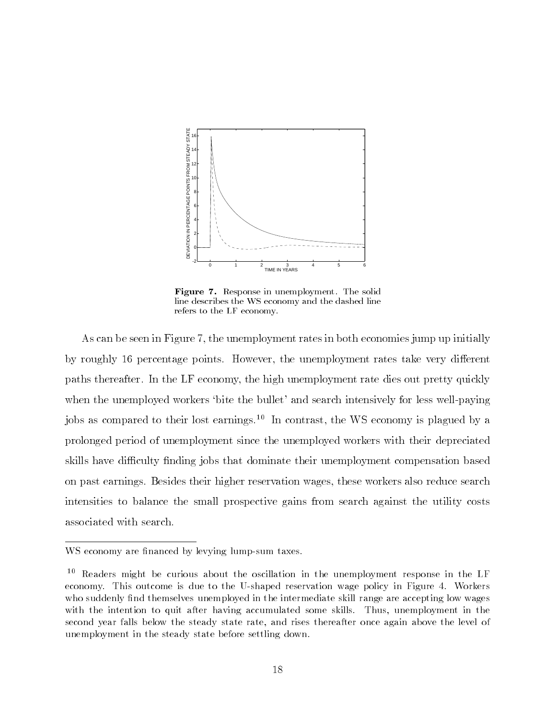

Figure 7. Response in unemployment. The solid line describes the WS economy and the dashed linerefers to the LF economy.

As can be seen in Figure 7, the unemployment rates in both economies jump up initially by roughly 16 percentage points. However, the unemployment rates take very different paths thereafter. In the LF economy, the high unemployment rate dies out pretty quickly when the unemployed workers 'bite the bullet' and search intensively for less well-paying jobs as compared to their lost earnings.10 In contrast, the WS economy is plagued by a prolonged period of unemployment since the unemployed workers with their depreciated skills have difficulty finding jobs that dominate their unemployment compensation based on past earnings. Besides their higher reservation wages, these workers also reduce search intensities to balance the small prospective gains from search against the utility costs associated with search.

WS economy are financed by levying lump-sum taxes.

<sup>10</sup> Readers might be curious about the oscillation in the unemployment response in the LF economy. This outcome is due to the U-shaped reservation wage policy in Figure 4. Workers who suddenly find themselves unemployed in the intermediate skill range are accepting low wages with the intention to quit after having accumulated some skills. Thus, unemployment in the second year falls below the steady state rate, and rises thereafter once again above the level of unemployment in the steady state before settling down.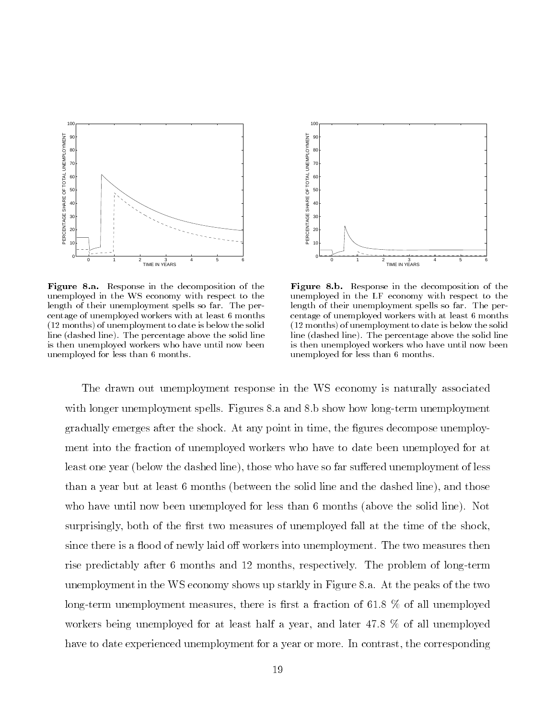

Figure 8.a. Response in the decomposition of the unemployed in the WS economy with respect to thelength of their unemployment spells so far. The percentage of unemployed workers with at least 6 months(12 months) of unemployment to date is below the solidline (dashed line). The percentage above the solid lineis then unemployed workers who have until now beenunemployed for less than 6 months.



Figure 8.b. Response in the decomposition of the unemployed in the LF economy with respect to thelength of their unemployment spells so far. The percentage of unemployed workers with at least 6 months(12 months) of unemployment to date is below the solidline (dashed line). The percentage above the solid lineis then unemployed workers who have until now beenunemployed for less than 6 months.

The drawn out unemployment response in the WS economy is naturally associated with longer unemployment spells. Figures 8.a and 8.b show how long-term unemployment gradually emerges after the shock. At any point in time, the gures decompose unemployment into the fraction of unemployed workers who have to date been unemployed for at least one year (below the dashed line), those who have so far suffered unemployment of less than a year but at least 6 months (between the solid line and the dashed line), and those who have until now been unemployed for less than 6 months (above the solid line). Not surprisingly, both of the first two measures of unemployed fall at the time of the shock. since there is a flood of newly laid off workers into unemployment. The two measures then rise predictably after 6 months and 12 months, respectively. The problem of long-term unemployment in the WS economy shows up starkly in Figure 8.a. At the peaks of the two long-term unemployment measures, there is first a fraction of 61.8  $\%$  of all unemployed workers being unemployed for at least half a year, and later 47.8 % of all unemployed have to date experienced unemployment for a year or more. In contrast, the corresponding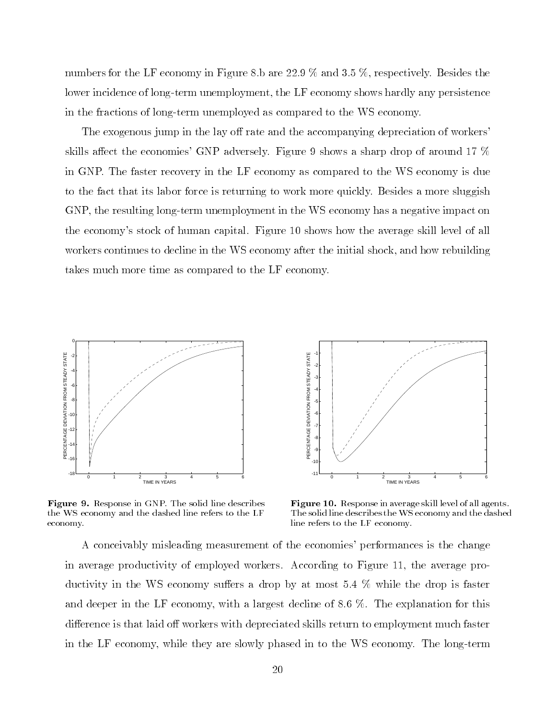numbers for the LF economy in Figure 8.b are 22.9 % and 3.5 %, respectively. Besides the lower incidence of long-term unemployment, the LF economy shows hardly any persistence in the fractions of long-term unemployed as compared to the WS economy.

The exogenous jump in the lay off rate and the accompanying depreciation of workers' skills affect the economies' GNP adversely. Figure 9 shows a sharp drop of around 17  $\%$ in GNP. The faster recovery in the LF economy as compared to the WS economy is due to the fact that its labor force is returning to work more quickly. Besides a more sluggish GNP, the resulting long-term unemployment in the WS economy has a negative impact on the economy's stock of human capital. Figure 10 shows how the average skill level of all workers continues to decline in the WS economy after the initial shock, and how rebuilding takes much more time as compared to the LF economy.



Figure 9. Response in GNP. The solid line describes the WS economy and the dashed line refers to the LFeconomy.



Figure 10. Response in average skill level of all agents. The solid line describes the WS economy and the dashedline refers to the LF economy.

A conceivably misleading measurement of the economies' performances is the change in average productivity of employed workers. According to Figure 11, the average productivity in the WS economy suffers a drop by at most  $5.4\%$  while the drop is faster and deeper in the LF economy, with a largest decline of 8.6 %. The explanation for this difference is that laid off workers with depreciated skills return to employment much faster in the LF economy, while they are slowly phased in to the WS economy. The long-term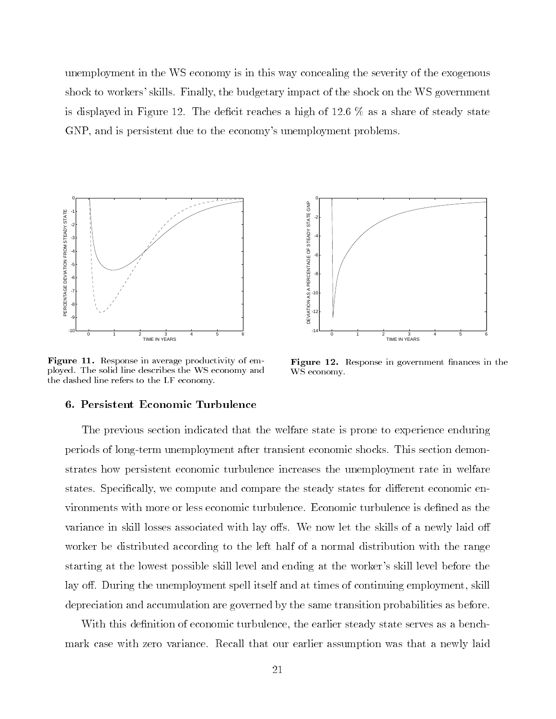unemployment in the WS economy is in this way concealing the severity of the exogenous shock to workers' skills. Finally, the budgetary impact of the shock on the WS government is displayed in Figure 12. The deficit reaches a high of  $12.6\%$  as a share of steady state GNP, and is persistent due to the economy's unemployment problems.



Figure 11. Response in average productivity of employed. The solid line describes the WS economy andthe dashed line refers to the LF economy.

#### 6. Persistent Economic Turbulence



With this definition of economic turbulence, the earlier steady state serves as a benchmark case with zero variance. Recall that our earlier assumption was that a newly laid



Figure 12. Response in government nances in the WS economy.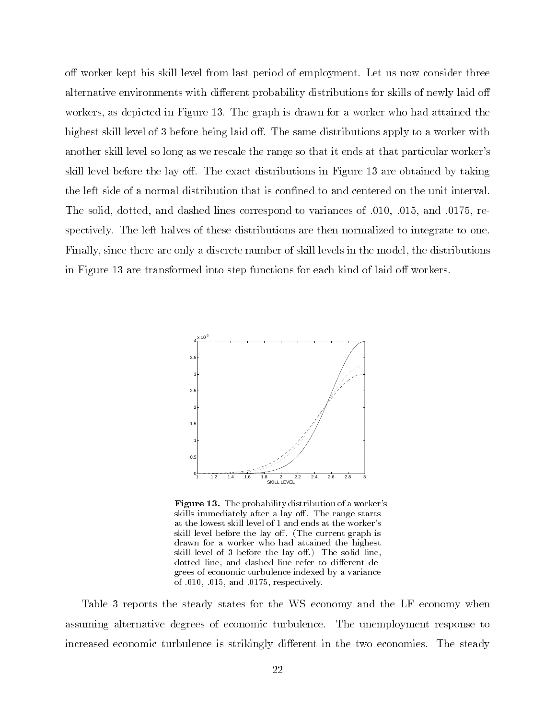off worker kept his skill level from last period of employment. Let us now consider three alternative environments with different probability distributions for skills of newly laid off workers, as depicted in Figure 13. The graph is drawn for a worker who had attained the highest skill level of 3 before being laid off. The same distributions apply to a worker with another skill level so long as we rescale the range so that it ends at that particular worker's skill level before the lay off. The exact distributions in Figure 13 are obtained by taking the left side of a normal distribution that is confined to and centered on the unit interval. The solid, dotted, and dashed lines correspond to variances of 0.010, 0.015, and 0.0175, respectively. The left halves of these distributions are then normalized to integrate to one. Finally, since there are only a discrete number of skill levels in the model, the distributions in Figure 13 are transformed into step functions for each kind of laid off workers.



Figure 13. The probability distribution of a worker's skills immediately after a lay off. The range starts at the lowest skill level of 1 and ends at the worker'sskill level before the lay off. (The current graph is drawn for a worker who had attained the highestskill level of 3 before the lay off.) The solid line, dotted line, and dashed line refer to different degrees of economic turbulence indexed by a variance of :010, :015, and :0175, respectively.

Table 3 reports the steady states for the WS economy and the LF economy when assuming alternative degrees of economic turbulence. The unemployment response to increased economic turbulence is strikingly different in the two economies. The steady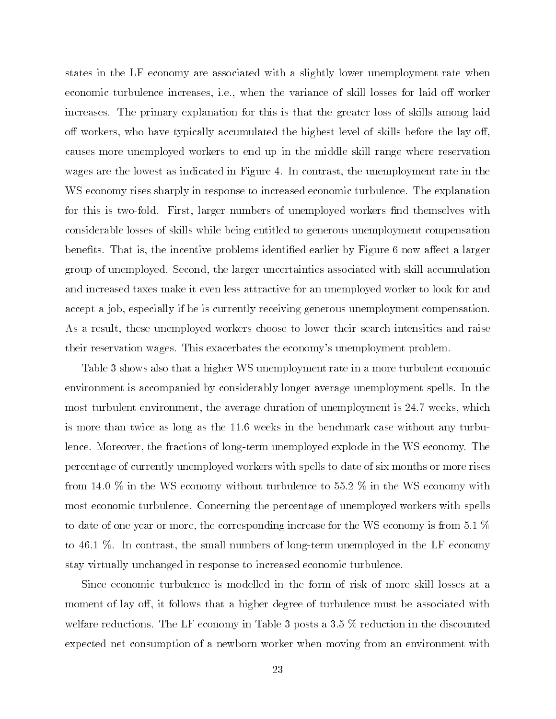states in the LF economy are associated with a slightly lower unemployment rate when economic turbulence increases, i.e., when the variance of skill losses for laid off worker increases. The primary explanation for this is that the greater loss of skills among laid off workers, who have typically accumulated the highest level of skills before the lay off. causes more unemployed workers to end up in the middle skill range where reservation wages are the lowest as indicated in Figure 4. In contrast, the unemployment rate in the WS economy rises sharply in response to increased economic turbulence. The explanation for this is two-fold. First, larger numbers of unemployed workers find themselves with considerable losses of skills while being entitled to generous unemployment compensation benefits. That is, the incentive problems identified earlier by Figure 6 now affect a larger group of unemployed. Second, the larger uncertainties associated with skill accumulation and increased taxes make it even less attractive for an unemployed worker to look for and accept a job, especially if he is currently receiving generous unemployment compensation. As a result, these unemployed workers choose to lower their search intensities and raise their reservation wages. This exacerbates the economy's unemployment problem.

Table 3 shows also that a higher WS unemployment rate in a more turbulent economic environment is accompanied by considerably longer average unemployment spells. In the most turbulent environment, the average duration of unemployment is 24.7 weeks, which is more than twice as long as the 11.6 weeks in the benchmark case without any turbulence. Moreover, the fractions of long-term unemployed explode in the WS economy. The percentage of currently unemployed workers with spells to date of six months or more rises from 14.0 % in the WS economy without turbulence to 55.2 % in the WS economy with most economic turbulence. Concerning the percentage of unemployed workers with spells to date of one year or more, the corresponding increase for the WS economy is from 5.1 % to 46.1 %. In contrast, the small numbers of long-term unemployed in the LF economy stay virtually unchanged in response to increased economic turbulence.

Since economic turbulence is modelled in the form of risk of more skill losses at a moment of lay off, it follows that a higher degree of turbulence must be associated with welfare reductions. The LF economy in Table 3 posts a 3.5 % reduction in the discounted expected net consumption of a newborn worker when moving from an environment with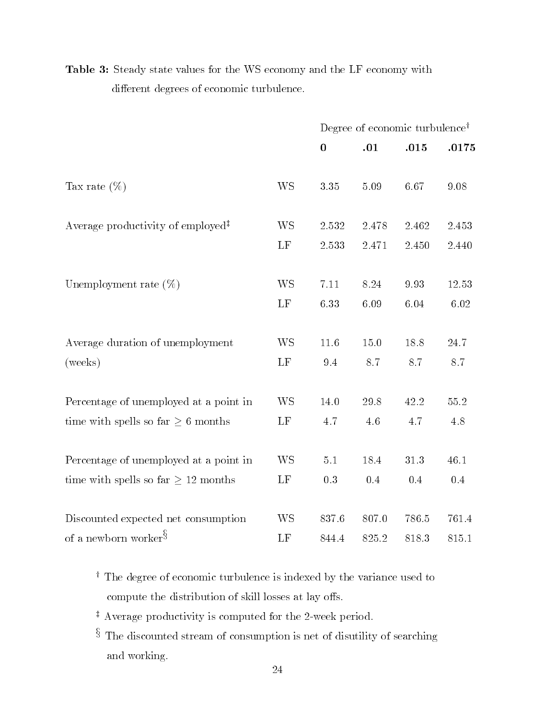|                                                                   |           | Degree of economic turbulence <sup>†</sup> |          |       |          |  |  |
|-------------------------------------------------------------------|-----------|--------------------------------------------|----------|-------|----------|--|--|
|                                                                   |           | $\bf{0}$                                   | .01      | .015  | .0175    |  |  |
|                                                                   |           |                                            |          |       |          |  |  |
| Tax rate $(\%)$                                                   | <b>WS</b> | $3.35\,$                                   | $5.09\,$ | 6.67  | 9.08     |  |  |
| Average productivity of employed <sup><math>\ddagger</math></sup> | <b>WS</b> | 2.532                                      | 2.478    | 2.462 | 2.453    |  |  |
|                                                                   | LF        | 2.533                                      | 2.471    | 2.450 | 2.440    |  |  |
|                                                                   |           |                                            |          |       |          |  |  |
| Unemployment rate $(\%)$                                          | <b>WS</b> | 7.11                                       | 8.24     | 9.93  | 12.53    |  |  |
|                                                                   | LF        | 6.33                                       | 6.09     | 6.04  | 6.02     |  |  |
|                                                                   |           |                                            |          |       |          |  |  |
| Average duration of unemployment                                  | <b>WS</b> | 11.6                                       | $15.0\,$ | 18.8  | 24.7     |  |  |
| (weeks)                                                           | LF        | 9.4                                        | 8.7      | 8.7   | 8.7      |  |  |
|                                                                   |           |                                            |          |       |          |  |  |
| Percentage of unemployed at a point in                            | <b>WS</b> | 14.0                                       | 29.8     | 42.2  | $55.2\,$ |  |  |
| time with spells so far $\geq 6$ months                           | LF        | 4.7                                        | 4.6      | 4.7   | 4.8      |  |  |
| Percentage of unemployed at a point in                            | <b>WS</b> | $5.1\,$                                    | 18.4     | 31.3  | 46.1     |  |  |
|                                                                   |           |                                            | 0.4      | 0.4   | 0.4      |  |  |
| time with spells so far $\geq 12$ months                          | LF        | 0.3                                        |          |       |          |  |  |
| Discounted expected net consumption                               | <b>WS</b> | 837.6                                      | 807.0    | 786.5 | 761.4    |  |  |
| of a newborn worker $\S$                                          | LF        | 844.4                                      | 825.2    | 818.3 | 815.1    |  |  |

Table 3: Steady state values for the WS economy and the LF economy with different degrees of economic turbulence.

- <sup>y</sup> The degree of economic turbulence is indexed by the variance used to compute the distribution of skill losses at lay offs.
- <sup>z</sup> Average productivity is computed for the 2-week period.
- $\sim$  1 ne discounted stream of consumption is net of disutility of searching  $\sim$ and working.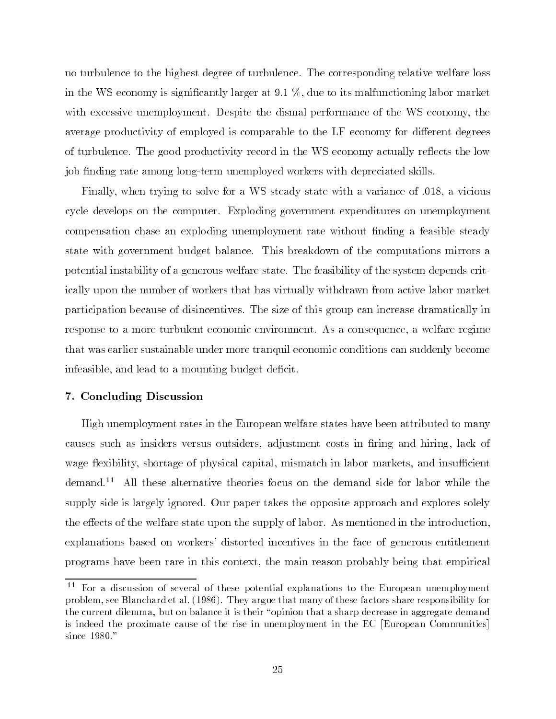no turbulence to the highest degree of turbulence. The corresponding relative welfare loss in the WS economy is significantly larger at  $9.1\%$ , due to its malfunctioning labor market with excessive unemployment. Despite the dismal performance of the WS economy, the average productivity of employed is comparable to the LF economy for different degrees of turbulence. The good productivity record in the WS economy actually reflects the low job finding rate among long-term unemployed workers with depreciated skills.

Finally, when trying to solve for a WS steady state with a variance of :018, a vicious cycle develops on the computer. Exploding government expenditures on unemployment compensation chase an exploding unemployment rate without finding a feasible steady state with government budget balance. This breakdown of the computations mirrors a potential instability of a generous welfare state. The feasibility of the system depends critically upon the number of workers that has virtually withdrawn from active labor market participation because of disincentives. The size of this group can increase dramatically in response to a more turbulent economic environment. As a consequence, a welfare regime that was earlier sustainable under more tranquil economic conditions can suddenly become infeasible, and lead to a mounting budget deficit.

#### 7. Concluding Discussion

High unemployment rates in the European welfare states have been attributed to many causes such as insiders versus outsiders, adjustment costs in firing and hiring, lack of wage flexibility, shortage of physical capital, mismatch in labor markets, and insufficient demand.11 All these alternative theories focus on the demand side for labor while the supply side is largely ignored. Our paper takes the opposite approach and explores solely the effects of the welfare state upon the supply of labor. As mentioned in the introduction, explanations based on workers' distorted incentives in the face of generous entitlement programs have been rare in this context, the main reason probably being that empirical

<sup>11</sup> For a discussion of several of these potential explanations to the European unemployment problem, see Blanchard et al. (1986). They argue that many of these factors share responsibility for the current dilemma, but on balance it is their "opinion that a sharp decrease in aggregate demand is indeed the proximate cause of the rise in unemployment in the EC [European Communities] since 1980."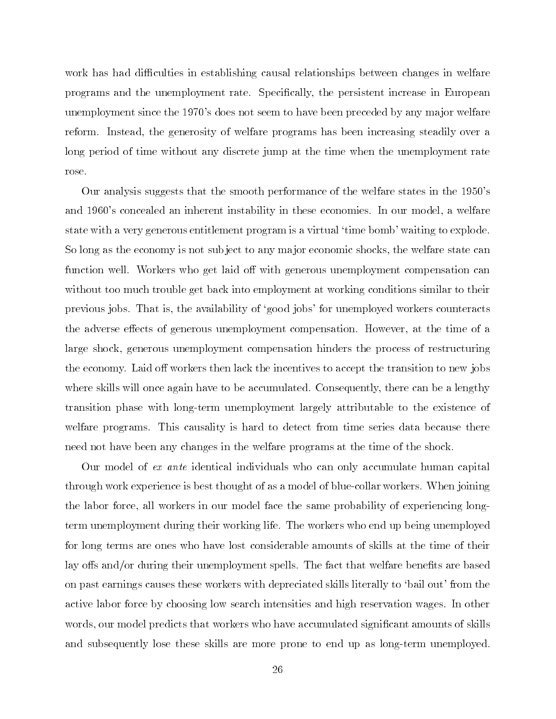work has had difficulties in establishing causal relationships between changes in welfare programs and the unemployment rate. Specically, the persistent increase in European unemployment since the 1970's does not seem to have been preceded by any major welfare reform. Instead, the generosity of welfare programs has been increasing steadily over a long period of time without any discrete jump at the time when the unemployment rate rose.

Our analysis suggests that the smooth performance of the welfare states in the 1950's and 1960's concealed an inherent instability in these economies. In our model, a welfare state with a very generous entitlement program is a virtual 'time bomb' waiting to explode. So long as the economy is not sub ject to any ma jor economic shocks, the welfare state can function well. Workers who get laid off with generous unemployment compensation can without too much trouble get back into employment at working conditions similar to their previous jobs. That is, the availability of `good jobs' for unemployed workers counteracts the adverse effects of generous unemployment compensation. However, at the time of a large shock, generous unemployment compensation hinders the process of restructuring the economy. Laid off workers then lack the incentives to accept the transition to new jobs where skills will once again have to be accumulated. Consequently, there can be a lengthy transition phase with long-term unemployment largely attributable to the existence of welfare programs. This causality is hard to detect from time series data because there need not have been any changes in the welfare programs at the time of the shock.

Our model of ex ante identical individuals who can only accumulate human capital through work experience is best thought of as a model of blue-collar workers. When joining the labor force, all workers in our model face the same probability of experiencing longterm unemployment during their working life. The workers who end up being unemployed for long terms are ones who have lost considerable amounts of skills at the time of their lay offs and/or during their unemployment spells. The fact that welfare benefits are based on past earnings causes these workers with depreciated skills literally to `bail out' from the active labor force by choosing low search intensities and high reservation wages. In other words, our model predicts that workers who have accumulated signicant amounts of skills and subsequently lose these skills are more prone to end up as long-term unemployed.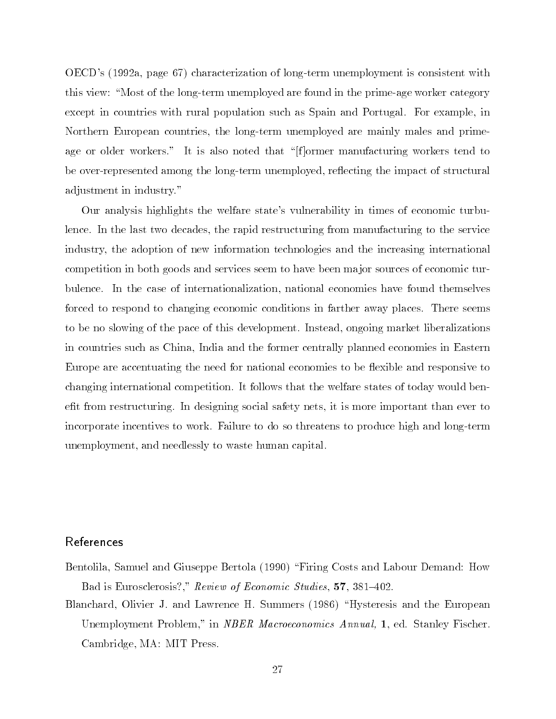OECD's (1992a, page 67) characterization of long-term unemployment is consistent with this view: "Most of the long-term unemployed are found in the prime-age worker category except in countries with rural population such as Spain and Portugal. For example, in Northern European countries, the long-term unemployed are mainly males and primeage or older workers." It is also noted that "[f]ormer manufacturing workers tend to be over-represented among the long-term unemployed, reflecting the impact of structural adjustment in industry."

Our analysis highlights the welfare state's vulnerability in times of economic turbulence. In the last two decades, the rapid restructuring from manufacturing to the service industry, the adoption of new information technologies and the increasing international competition in both goods and services seem to have been ma jor sources of economic turbulence. In the case of internationalization, national economies have found themselves forced to respond to changing economic conditions in farther away places. There seems to be no slowing of the pace of this development. Instead, ongoing market liberalizations in countries such as China, India and the former centrally planned economies in Eastern Europe are accentuating the need for national economies to be flexible and responsive to changing international competition. It follows that the welfare states of today would benefit from restructuring. In designing social safety nets, it is more important than ever to incorporate incentives to work. Failure to do so threatens to produce high and long-term unemployment, and needlessly to waste human capital.

# References

- Bentolila, Samuel and Giuseppe Bertola (1990) \Firing Costs and Labour Demand: How Bad is Eurosclerosis?," Review of Economic Studies, 57, 381-402.
- Blanchard, Olivier J. and Lawrence H. Summers (1986) "Hysteresis and the European Unemployment Problem," in *NBER Macroeconomics Annual*, 1, ed. Stanley Fischer. Cambridge, MA: MIT Press.